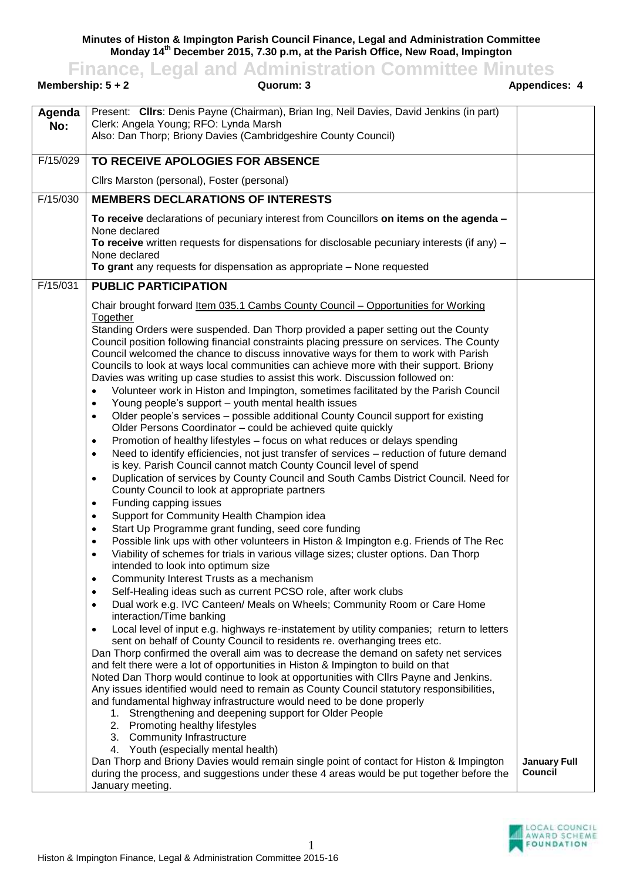**Minutes of Histon & Impington Parish Council Finance, Legal and Administration Committee Monday 14th December 2015, 7.30 p.m, at the Parish Office, New Road, Impington**

**Finance, Legal and Administration Committee Minutes**

| Membership: $5 + 2$ | Quorum: 3                                                                                                                                                                                                                                                                                                                                                                                                                                                                                                                                                                                                                                                                                                                                                                                               | <b>Appendices: 4</b>           |
|---------------------|---------------------------------------------------------------------------------------------------------------------------------------------------------------------------------------------------------------------------------------------------------------------------------------------------------------------------------------------------------------------------------------------------------------------------------------------------------------------------------------------------------------------------------------------------------------------------------------------------------------------------------------------------------------------------------------------------------------------------------------------------------------------------------------------------------|--------------------------------|
| Agenda<br>No:       | Present: Clirs: Denis Payne (Chairman), Brian Ing, Neil Davies, David Jenkins (in part)<br>Clerk: Angela Young; RFO: Lynda Marsh<br>Also: Dan Thorp; Briony Davies (Cambridgeshire County Council)                                                                                                                                                                                                                                                                                                                                                                                                                                                                                                                                                                                                      |                                |
| F/15/029            | TO RECEIVE APOLOGIES FOR ABSENCE                                                                                                                                                                                                                                                                                                                                                                                                                                                                                                                                                                                                                                                                                                                                                                        |                                |
|                     | Cllrs Marston (personal), Foster (personal)                                                                                                                                                                                                                                                                                                                                                                                                                                                                                                                                                                                                                                                                                                                                                             |                                |
| F/15/030            | <b>MEMBERS DECLARATIONS OF INTERESTS</b>                                                                                                                                                                                                                                                                                                                                                                                                                                                                                                                                                                                                                                                                                                                                                                |                                |
|                     | To receive declarations of pecuniary interest from Councillors on items on the agenda -                                                                                                                                                                                                                                                                                                                                                                                                                                                                                                                                                                                                                                                                                                                 |                                |
|                     | None declared<br>To receive written requests for dispensations for disclosable pecuniary interests (if any) $-$<br>None declared                                                                                                                                                                                                                                                                                                                                                                                                                                                                                                                                                                                                                                                                        |                                |
|                     | To grant any requests for dispensation as appropriate - None requested                                                                                                                                                                                                                                                                                                                                                                                                                                                                                                                                                                                                                                                                                                                                  |                                |
| F/15/031            | <b>PUBLIC PARTICIPATION</b>                                                                                                                                                                                                                                                                                                                                                                                                                                                                                                                                                                                                                                                                                                                                                                             |                                |
|                     | Chair brought forward Item 035.1 Cambs County Council – Opportunities for Working                                                                                                                                                                                                                                                                                                                                                                                                                                                                                                                                                                                                                                                                                                                       |                                |
|                     | Together<br>Standing Orders were suspended. Dan Thorp provided a paper setting out the County<br>Council position following financial constraints placing pressure on services. The County<br>Council welcomed the chance to discuss innovative ways for them to work with Parish<br>Councils to look at ways local communities can achieve more with their support. Briony<br>Davies was writing up case studies to assist this work. Discussion followed on:<br>Volunteer work in Histon and Impington, sometimes facilitated by the Parish Council<br>$\bullet$<br>Young people's support - youth mental health issues<br>$\bullet$<br>Older people's services - possible additional County Council support for existing<br>$\bullet$<br>Older Persons Coordinator - could be achieved quite quickly |                                |
|                     | Promotion of healthy lifestyles - focus on what reduces or delays spending<br>$\bullet$<br>Need to identify efficiencies, not just transfer of services - reduction of future demand<br>$\bullet$<br>is key. Parish Council cannot match County Council level of spend                                                                                                                                                                                                                                                                                                                                                                                                                                                                                                                                  |                                |
|                     | Duplication of services by County Council and South Cambs District Council. Need for<br>$\bullet$<br>County Council to look at appropriate partners                                                                                                                                                                                                                                                                                                                                                                                                                                                                                                                                                                                                                                                     |                                |
|                     | Funding capping issues<br>$\bullet$<br>Support for Community Health Champion idea<br>$\bullet$                                                                                                                                                                                                                                                                                                                                                                                                                                                                                                                                                                                                                                                                                                          |                                |
|                     | Start Up Programme grant funding, seed core funding<br>$\bullet$                                                                                                                                                                                                                                                                                                                                                                                                                                                                                                                                                                                                                                                                                                                                        |                                |
|                     | Possible link ups with other volunteers in Histon & Impington e.g. Friends of The Rec<br>$\bullet$<br>Viability of schemes for trials in various village sizes; cluster options. Dan Thorp<br>$\bullet$<br>intended to look into optimum size                                                                                                                                                                                                                                                                                                                                                                                                                                                                                                                                                           |                                |
|                     | Community Interest Trusts as a mechanism<br>$\bullet$                                                                                                                                                                                                                                                                                                                                                                                                                                                                                                                                                                                                                                                                                                                                                   |                                |
|                     | Self-Healing ideas such as current PCSO role, after work clubs<br>$\bullet$<br>Dual work e.g. IVC Canteen/ Meals on Wheels; Community Room or Care Home<br>$\bullet$<br>interaction/Time banking                                                                                                                                                                                                                                                                                                                                                                                                                                                                                                                                                                                                        |                                |
|                     | Local level of input e.g. highways re-instatement by utility companies; return to letters<br>$\bullet$<br>sent on behalf of County Council to residents re. overhanging trees etc.<br>Dan Thorp confirmed the overall aim was to decrease the demand on safety net services<br>and felt there were a lot of opportunities in Histon & Impington to build on that<br>Noted Dan Thorp would continue to look at opportunities with Cllrs Payne and Jenkins.<br>Any issues identified would need to remain as County Council statutory responsibilities,<br>and fundamental highway infrastructure would need to be done properly<br>1. Strengthening and deepening support for Older People<br>2. Promoting healthy lifestyles<br>3. Community Infrastructure<br>4. Youth (especially mental health)      |                                |
|                     | Dan Thorp and Briony Davies would remain single point of contact for Histon & Impington<br>during the process, and suggestions under these 4 areas would be put together before the<br>January meeting.                                                                                                                                                                                                                                                                                                                                                                                                                                                                                                                                                                                                 | <b>January Full</b><br>Council |